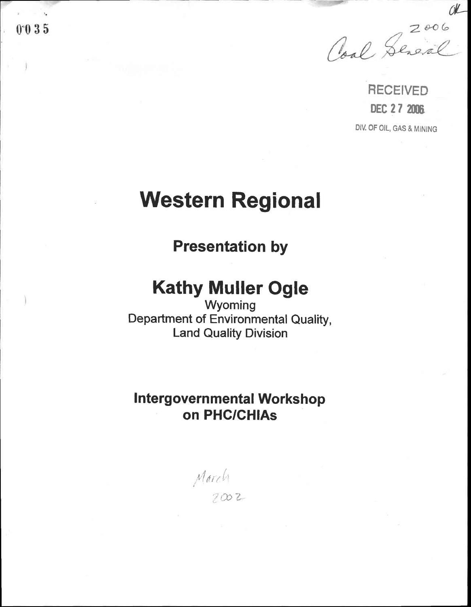Coal Sereval

OR

RECEIVED DEC 27 2006 DIV. OF OIL, GAS & MINING

# Western Regional

Presentation by

# Kathy Muller Ogle

Wyoming Department of Environmental Quality, Land Quality Division

## Intergovernmental Workshop on PHC/GH|As

t,!  $\mathcal{N}(\ell\ell\ell\ell')$  $2002$ 

 $0.035$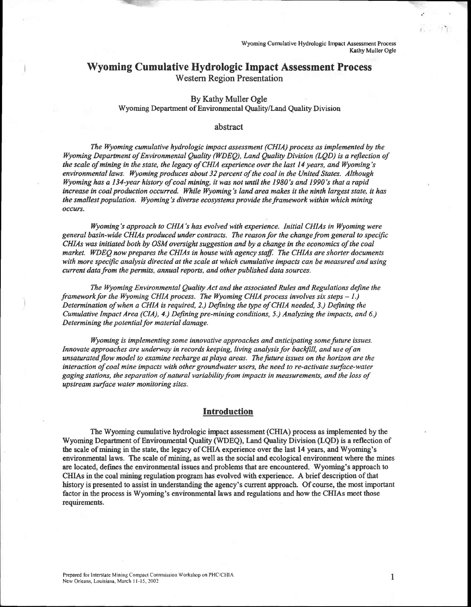### Wyoming Cumulative Hydrologic Impact Assessment Process Western Region Presentation

.v--

#### By Kathy Muller Ogle Wyoming Deparfrnent of Environmental Quality/Land Quality Division

#### abstract

The Wyoming cumulative hydrologic impact assessment (CHIA) process as implemented by the Wyoming Department of Environmental Quality (WDEQ), Land Quality Division (LQD) is a reflection of the scale of mining in the state, the legacy of CHIA experience over the last  $14$  years, and Wyoming's environmental laws. Wyoming produces about 32 percent of the coal in the United States. Although Wyoming has a 134-year history of coal mining, it was not until the 1980's and 1990's that a rapid increase in coal production occurred. While Wyoming's land area makes it the ninth largest state, it has the smallest population. Wyoming's diverse ecosystems provide the framework within which mining occurs,

Wyoming's approach to CHIA's has evolved with experience. Initial CHIAs in Wyoming were general basin-wide CHIAs produced under contracts. The reasonfor the changefrom general to specific CHIAs was initiated both by OSM oversight suggestion and by a change in the economics of the coal market. WDEQ now prepares the CHIAs in house with agency staff. The CHIAs are shorter documents with more specific analysis directed at the scale at which cumulative impacts can be measured and using current data from the permits, annual reports, and other published data sources.

The Wyoming Environmental Quality Act and the associated Rules and Regulations define the framework for the Wyoming CHIA process. The Wyoming CHIA process involves six steps  $-1$ .) Determination of when a CHIA is required, 2.) Defining the type of CHIA needed, 3.) Defining the Cumulative Impact Area (CIA), 4.) Defining pre-mining conditions, 5.) Analyzing the impacts, and 6.) Determining the potential for material damage.

Wyoming is implementing some innovative approaches and anticipating some future issues. Innovate approaches are underway in records keeping, living analysis for backfill, and use of an unsaturated flow model to examine recharge at playa areas. The fulure issues on the horizon are the interaction of coal mine impacts with other groundwater users, the need to re-activate surface-water gaging stations, the separation of natural variabilityfrom impacts in measurements, and the loss of upstream surface water monitoring sites.

#### **Introduction**

The Wyoming cunulative hydrologic inpact assessment (CHIA) process as implemented by the Wyoming Department of Environmental Quality (WDEQ), Land Quality Division (LQD) is a reflection of the scale of mining in the state, the legacy of CHIA experience over the last 14 years, and Wyoming's environmental laws. The scale of mining, as well as the social and ecological environment where the mines are located, defines the environrnental issues and problems that are encountered. Wyoming's approach to CHIAs in the coal mining regulation program has evolved with experience. A brief description of that history is presented to assist in understanding the agency's curent approach. Of course, the most inportant factor in the process is Wyoming's environmental laws and regulations and how the CHIAs meet those requirements.

 $\mathbf{1}$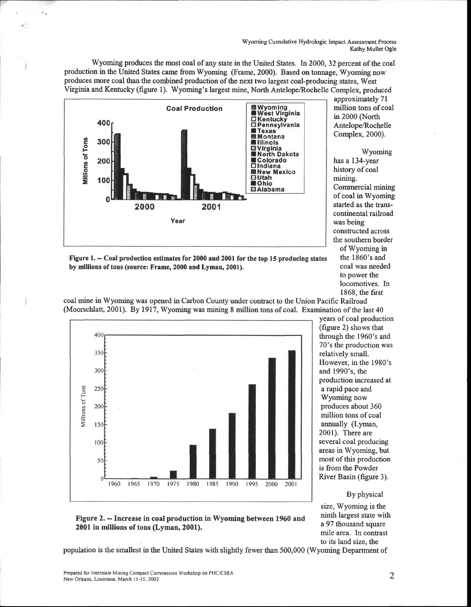Wyoming Cumulative Hydrologic Impact Assessment Process Kathy Muller Ogle

Wyoming produces the most coal of any state in the United States. In 2000,32 percent of the coal production in the United States came from Wyoming (Frame, 2000). Based on tonnage, Wyoming now produces more coal than the combined production of the next two largest coal-producing states, West Virginia and Kentucky (figure l). Wyoming's largest mine, North Antelope/Rochelle Complex, produced approximately 7l



million tons of coal in 2000 (North Antelope/Rochelle Complex,2000). Wyoming has a 134-year

history of coal mining. Commercial mining of coal in Wyoming started as the tanscontinental railroad was being constructed across the southern border of Wyoming in the 1860's and coal was needed to power the locomotives. In 1868, the first

Figure 1. - Coal production estimates for 2000 and 2001 for the top 15 producing states by millions of tons (source: Frame, 2000 and Lyman,2001).



coal mine in Wyoming was opened in Carbon County under contact to the Union Pacific Railroad (Moorschlatt, 2001). By 1917, Wyoming was mining 8 million tons of coal. Examination of the last  $40$ 

years of coal production (figue 2) shows that through the 1960's and 70's the production was relatively small. However, in the 1980's and 1990's, the production increased at a rapid pace and Wyoming now produces about 360 million tons of coal annually (Lyman, 2001). There are several coal producing areas in Wyoming, but most of this production is from the Powder River Basin (figure 3).

#### By physical

size, Wyoming is the ninth largest state with a 97 thousand square mile area. In contrast to its land size, the

#### Figure 2. - Increase in coal production in Wyoming between 1960 and 2001 in millions of tons (Lyman, 2001).

population is the smallest in the United States with slightly fewer than 500,000 (Wyoming Department of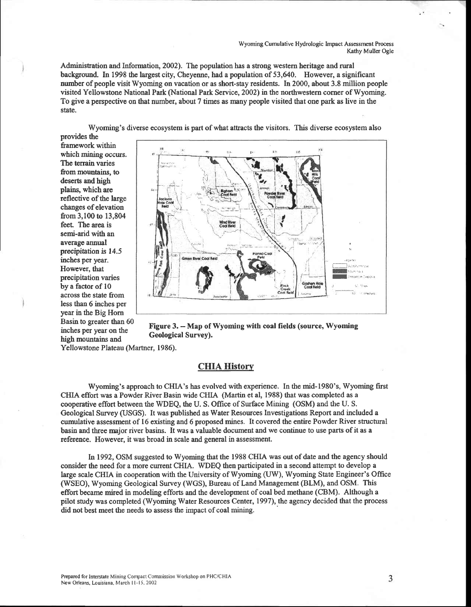Wyoming Cumulative Hydrologic Impact Assessment Process Kathy Muller Ogle

Administration and Information, 2002). The population has a strong western heritage and rural background. In 1998 the largest city, Cheyenne, had a population of 53,640. However, a significant nurnber of people visit Wyoming on vacation or as short-stay residents. In 2000, about 3.8 million people visited Yellowstone National Park (National Park Service,2002) in the northwestern corner of Wyoming. To give a perspective on that number, about 7 times as many people visited that one park as live in the state.

Wyoming's diverse ecosystem is part of what attacts the visitors. This diverse ecosystem also provides the

framework within which mining occurs. The terrain varies from mountains, to deserts and high plains, which are reflective of the large changes of elevation from 3,100 to 13,804 feet. The area is semi-arid with an average annual precipitation is 14.5 inches per year. However, that precipitation varies by a factor of 10 across the state from less than 6 inches per year in the Big Horn Basin to greater than 60 inches per year on the high mountains and



Figure 3. - Map of Wyoming with coal fields (source, Wyoming Geological Survey).

Yellowstone Plateau (Martner, 1986).

#### **CHIA History**

Wyoming's approach to CHIA's has evolved with experience. In the mid-1980's, Wyoming first CHIA effort was a Powder River Basin wide CHIA (Martin et al, 1988) that was completed as a cooperative effort between the WDEQ, the U. S. Office of Surface Mining (OSM) and the U. S. Geological Survey (USGS). It was published as Water Resources Investigations Report and included a cumulative assessment of16 existing and 6 proposed mines. It covered the entire Powder River stuctural basin and three major river basins. It was a valuable document and we continue to use parts of it as a reference. However, it was broad in scale and general in assessment.

In 1992, OSM suggested to Wyoming that the 1988 CHIA was out of date and the agency should consider the need for a more current CHIA. WDEQ then participated in a second atternpt to develop a large scale CHIA in cooperation with the University of Wyoming (UW), Wyoming State Engineer's Office (WSEO), Wyoming Geological Survey (WGS), Bureau of Land Management (BLM), and OSM. This effort became mired in modeling efforts and the development of coal bed methane (CBM). Although a pilot study was conpleted (Wyoming Water Resources Center, 1997), the agency decided that the process did not best meet the needs to assess the impact of coal mining.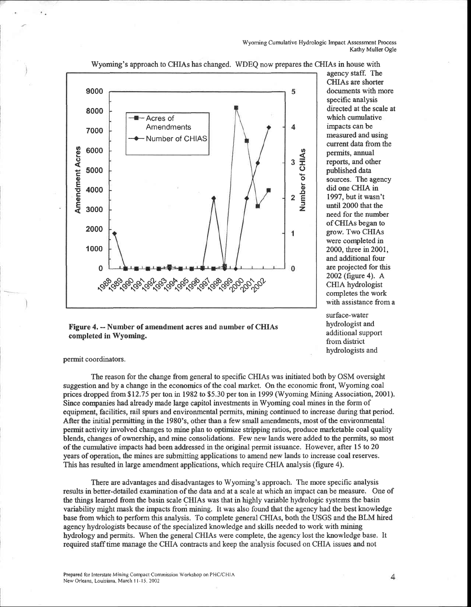Wyoming Cumulative Hydrologic Impact Assessment Process<br>Kathy Muller Ogle



Wyoming's approach to CHIAs has changed. WDEQ now prepares the CHIAs in house with

Figure 4. - Number of amendment acres and number of CHIAs completed in Wyoming.

agency staff. The CHIAs are shorter documents with more specific analysis directed at the scale at which cumulative impacts can be measured and using current data from the permits, annual reports, and other published data sources. The agency did one CHIA in 1997, but it wasn't until 2000 that the need for the number of CHIAs began to grow. Two CHIAs were completed in 2000, three in 2001, and additional four are projected for this 2002 (figure 4). A CHIA hydrologist completes the work with assistance from a

surface-water hydrologist and additional support from district hydrologists and

permit coordinators.

The reason for the change from general to specific CHIAs was initiated both by OSM oversight suggestion and by a change in the economics of the coal market. On the economic front, Wyoming coal prices dropped from \$12.75 per ton in 1982 to \$5.30 per ton in 1999 (Wyoming Mining Association, 2001). Since corrpanies had already made large capitol investrnents in Wyoming coal mines in the form of equipment, facilities, rail spurs and environmental permits, mining continued to increase during that period. After the initial permitting in the 1980's, other than a few small amendments, most of the environmental permit activity involved changes to mine plan to optimize stripping ratios, produce marketable coal quality blends, changes of ownership, and mine consolidations. Few new lands were added to the permits, so most of the cumulative impacts had been addressed in the original permit issuance. However, after l5 to 20 years of operation, the mines are submitting applications to amend new lands to increase coal reserves. This has resulted in large amendment applications, which require CHIA analysis (figure 4).

There are advantages and disadvantages to Wyoming's approach. The more specific analysis results in better-detailed examination of the data and at a scale at which an impact can be measure. One of the things leamed from the basin scale CHIAs was that in highly variable hydrologic systems the basin variability might mask the impacts from mining. It was also found that the agency had the best knowledge base from which to perform this analysis. To complete general CHIAs, both the USGS and the BLM hired agency hydrologists because of the specialized knowledge and skills needed to work with mining hydrology and permits. When the general CHIAs were complete, the agency lost the knowledge base. It required staff time manage the CHIA contracts and keep the analysis focused on CHIA issues and not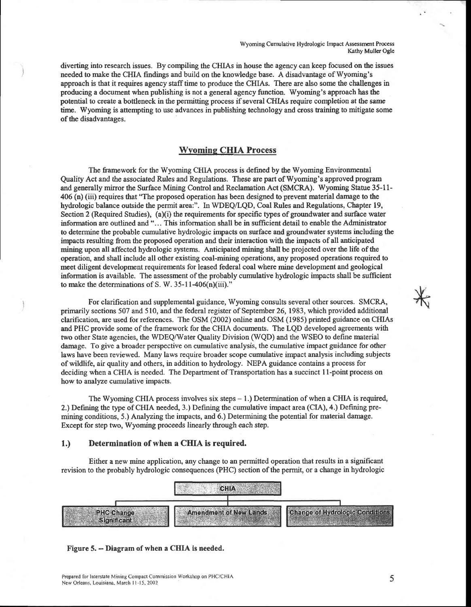Wyoming Cumulative Hydrologic Impact Assessment Process Kathy Muller Ogle

diverting into research issues. By compiling the CHIAs in house the agency can keep focused on the issues needed to make the CHIA findings and build on the knowledge base. A disadvantage of Wyoming's approach is that it requires agency staff time to produce the CHIAs. There are also some the challenges in producing a document when publishing is not a general agency function. Wyoming's approach has the potential to create a bottleneck in the permitting process if several CHIAs require completion at the same time. Wyoming is attempting to use advances in publishing technology and cross training to mitigate some of the disadvantages.

#### Wvomine CHIA Process

The framework for the Wyoming CHIA process is defined by the Wyoming Environmental Quality Act and the associated Rules and Regulations. These are part of Wyoming's approved program and generally mirror the Surface Mining Confrol and Reclamation Act (SMCRA). Wyoming Statue 35-11- 406 (n) (iii) requires that'The proposed operation has been designed to prevent material damage to the hydrologic balance outside the permit area:". In WDEQ/LQD, Coal Rules and Regulations, Chapter 19, Section 2 (Required Studies),  $(a)(i)$  the requirements for specific types of groundwater and surface water information are outlined and'... This information shall be in sufficient detail to enable the Administator to determine the probable cumulative hydrologic impacts on surface and groundwater systems including the impacts resulting from the proposed operation and their interaction with the impacts of all anticipated mining upon all affected hydrologic systerns. Anticipated mining shall be projected over the life of the operation, and shall include all other existing coal-mining operations, any proposed operations required to meet diligent development requirements for leased federal coal where mine development and geological information is available. The assessment of the probably cumulative hydrologic impacts shall be sufficient to make the determinations of S. W. 35-11-406(n)(iii)."

For clarification and supplemental guidance, Wyoming consults several other sources. SMCRA, primarily sections 507 and 510, and the federal register of September 26, 1983, which provided additional clarification, are used for references. The OSM (2002) online and OSM (1985) printed guidance on CHIAs and PHC provide some of the framework for the CHIA documents. The LQD developed agreements with two other State agencies, the WDEQMater Quality Division (WQD) and the WSEO to define material damage. To give a broader perspective on cumulative analysis, the cumulative inpact guidance for other laws have been reviewed. Many laws require broader scope cumulative impact analysis including subjects of wildlife, air quality and others, in addition to hydrology. NEPA guidance contains a process for deciding when a CHIA is needed. The Departrnent of Transportation has a succinct I l-point process on how to analyze cumulative impacts.

The Wyoming CHIA process involves six steps  $-1$ .) Determination of when a CHIA is required, 2.) Defining the type of CHIA needed, 3.) Defining the cumulative impact area (CIA), 4.) Defining premining conditions, 5.) Analyzing the impacts, and 6.) Determining the potential for material damage. Except for step two, Wyoming proceeds linearly through each step.

#### 1.) Determination of when a CIIIA is required.

Either a new mine application, any change to an permitted operation that results in a significant revision to the probably hydrologic consequences (PHC) section of the permit, or a change in hydrologic



#### Figure 5. -- Diagram of when a CHIA is needed.

5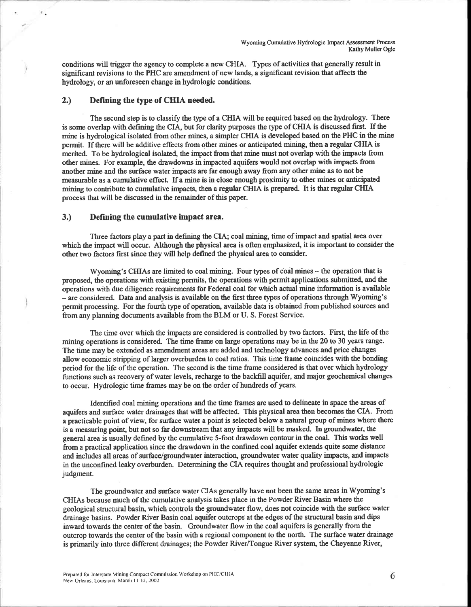conditions will trigger the agency to complete a new CHIA. Types of activities that generally result in significant revisions to the PHC are amendment of new lands, a significant revision that affects the hydrology, or an unforeseen change in hydrologic conditions.

#### 2.) Defining the type of CHIA needed.

The second step is to classify the type of a CHIA will be required based on the hydrology. There is some overlap with defining the CIA, but for clarity purposes the type of CHIA is discussed first. If the mine is hydrological isolated from other mines, a simpler CHIA is developed based on the PHC in the mine permit. If there will be additive effects from other mines or anticipated mining, then a regular CHIA is merited. To be hydrological isolated, the impact from that mine must not overlap with the inpacts from other mines. For example, the drawdowns in inpacted aquifers would not overlap with impacts from another mine and the surface water impacts are far enough away from any other mine as to not be measurable as a cumulative effect. If a mine is in close enough proximity to other mines or anticipated mining to contribute to cumulative inpacts, then a regular CHIA is prepared. It is that regular CHIA process that will be discussed in the remainder of this paper.

#### 3.) Defining the cumulative impact area.

Three factors play a part in defrning the CIA; coal mining, time of impact and spatial area over which the impact will occur. Although the physical area is often emphasized, it is important to consider the other two factors first since they will help defined the physical area to consider.

Wyoming's CHIAs are limited to coal mining. Four types of coal mines - the operation that is proposed, the operations with existing permits, the operations with permit applications submitte4 and the operations with due diligence requirements for Federal coal for which actual mine information is available  $-$  are considered. Data and analysis is available on the first three types of operations through Wyoming's permit processing. For the fourth type of operation, available data is obtained from published sources and from any planning documents available from the BLM or U. S. Forest Service.

The time over which the impacts are considered is controlled by two factors. First, the life of the mining operations is considered. The time frame on large operations rnay be in the 20 to 30 years range. The time may be extended as amendment areas are added and technology advances and price changes allow economic stripping of larger overburden to coal ratios. This time frame coincides with the bonding period for the life of the operation. The second is the time frame considered is that over which hydrology functions such as recovery of water levels, recharge to the backfill aquifer, and major geochemical changes to occu. Hydrologic time frames may be on the order of hundreds of years.

Identified coal mining operations and the time frames are used to delineate in space the areas of aquifers and surface water drainages that will be affected. This physical area then becomes the CIA. From a practicable point of view, for surface water a point is selected below a natural group of mines where there is a measuring point, but not so far downstream that any impacts will be masked. In groundwater, the general area is usually defined by the cumulative 5-foot drawdown contour in the coal. This works well from a practical application since the drawdown in the confined coal aquifer extends quite some distance and includes all areas of surface/groundwater interaction, groundwater water quality impacts, and impacts in the unconfined leaky overburden. Determining the CIA requires thought and professional hydrologic judgment.

The groundwater and surface water CIAs generally have not been the same areas in Wyoming's CHIAs because much of the cumulative analysis takes place in the Powder River Basin where the geological structural basin, which controls the groundwater flow, does not coincide with the surface water drainage basins. Powder River Basin coal aquifer outcrops at the edges of the structural basin and dips inward towards the center of the basin. Groundwater flow in the coal aquifers is generally from the outcrop towards the center of the basin with a regional component to the north. The surface water drainage is primarily into three different drainages; the Powder River/Tongue River system, the Cheyenne River,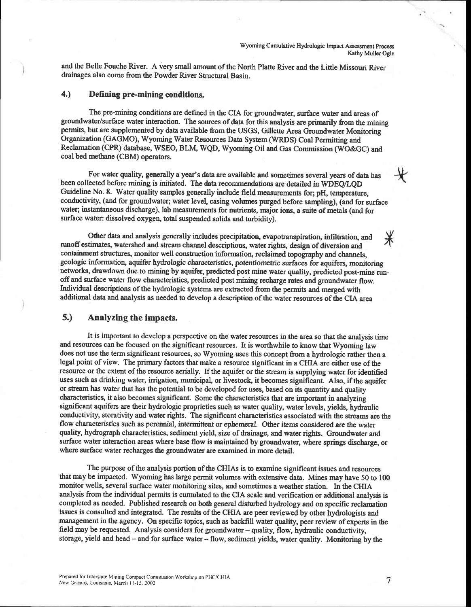and the Belle Fouche River. A very small amount of the North Platte River and the Little Missouri River drainages also come from the Powder River Structural Basin.

#### 4.) Defining pre-mining conditions.

The pre-mining conditions are defned in the CLA for groundwater, surface water and areas of groundwater/surface water interaction. The sources of data for this analysis are primarily from the mining permits, but are supplemented by data available from the USGS, Gillette Area Groundwater Monitoring Organization (GAGMO), Wyoming Water Resources Data System (WRDS) Coal Permitting and Reclamation (CPR) database, WSEO, BLM, WQD, Wyoming Oil and Gas Commission (WO&GC) and coal bed methane (CBM) operators.

For water quality, generally a year's data are available and sometimes several years of data has been collected before mining is initiated. The data recommendations are detailed in WDEQ/LQD Guideline No. 8. Water quality sanples generally include field measurements for; pH, tenperature, conductivity, (and for groundwater; water level, casing volumes purged before sanpling), (and for surface water; instantaneous discharge), lab measurements for nutrients, major ions, a suite of metals (and for surface water: dissolved oxygen, total suspended solids and turbidity).

Other data and analysis generally includes precipitation, evapotranspiration, infiltration, and  $\mathcal{X}$ runoff estimates, watershed and stream channel descriptions, water rights, design of diversion and containment structures, monitor well construction information, reclaimed topography and channels, geologic information, aquifer hydrologic characteristics, potentiometric surfaces for aquifers, monitoring networks, drawdown due to mining by aquifer, predicted post mine water quality, predicted post-mine runoffand surface water flow characteristics, predicted post mining recharge rates and groundwater flow. Individual descriptions of the hydrologic systems are extacted from the permits and merged with additional data and analysis as needed to develop a description ofthe water resources ofthe CIA area

#### 5.) Analyzing the impacts.

It is important to develop a perspective on the water resources in the area so that the analysis time and resources can be focused on the significant resources. It is worthwhile to know that Wyoming law does not use the term significant resources, so Wyoming uses this concept from a hydrologic rather then a legal point of view. The primary factors that make a resource significant in a CHIA are either use of the resource or the extent of the resource aerially. If the aquifer or the steam is supplying water for identified uses such as drinking water, irrigation, municipal, or livestock, it becomes significant. Also, if the aquifer or steam has water that has the potential to be developed for uses, based on its quantity and quality characteristics, it also becomes significant. Some the characteristics that are important in analyzing significant aquifers are their hydrologic proprieties such as water quality, water levels, yields, hydraulic conductivity, storativity and water rights. The significant characteristics associated with the streams are the flow characteristics such as perennial, intermittent or ephemeral. Other items considered are the water quality, hydrograph characteristics, sediment yield, size of drainage, and water rights. Groundwater and swface water interaction areas where base flow is maintained by groundwater, where springs discharge, or where surface water recharges the groundwater are examined in more detail.

The purpose of the analysis portion of the CHIAs is to examine significant issues and resources that may be impacted. Wyoming has large permit volumes with extensive data. Mines may have 50 to 100 monitor wells, several surface water monitoring sites, and sometimes a weather station. In the CHIA analysis from the individual permits is cumulated to the CIA scale and verification or additional analysis is completed as needed. Published research on both general disturbed hydrology and on specific reclamation issues is consulted and integrated. The results of the CHIA are peer reviewed by other hydrologists and management in the agency. On specific topics, such as backfill water quality, peer review of experts in the field may be requested. Analysis considers for groundwater - quality, flow, hydraulic conductivity, storage, yield and head - and for surface water - flow, sediment yields, water quality. Monitoring by the